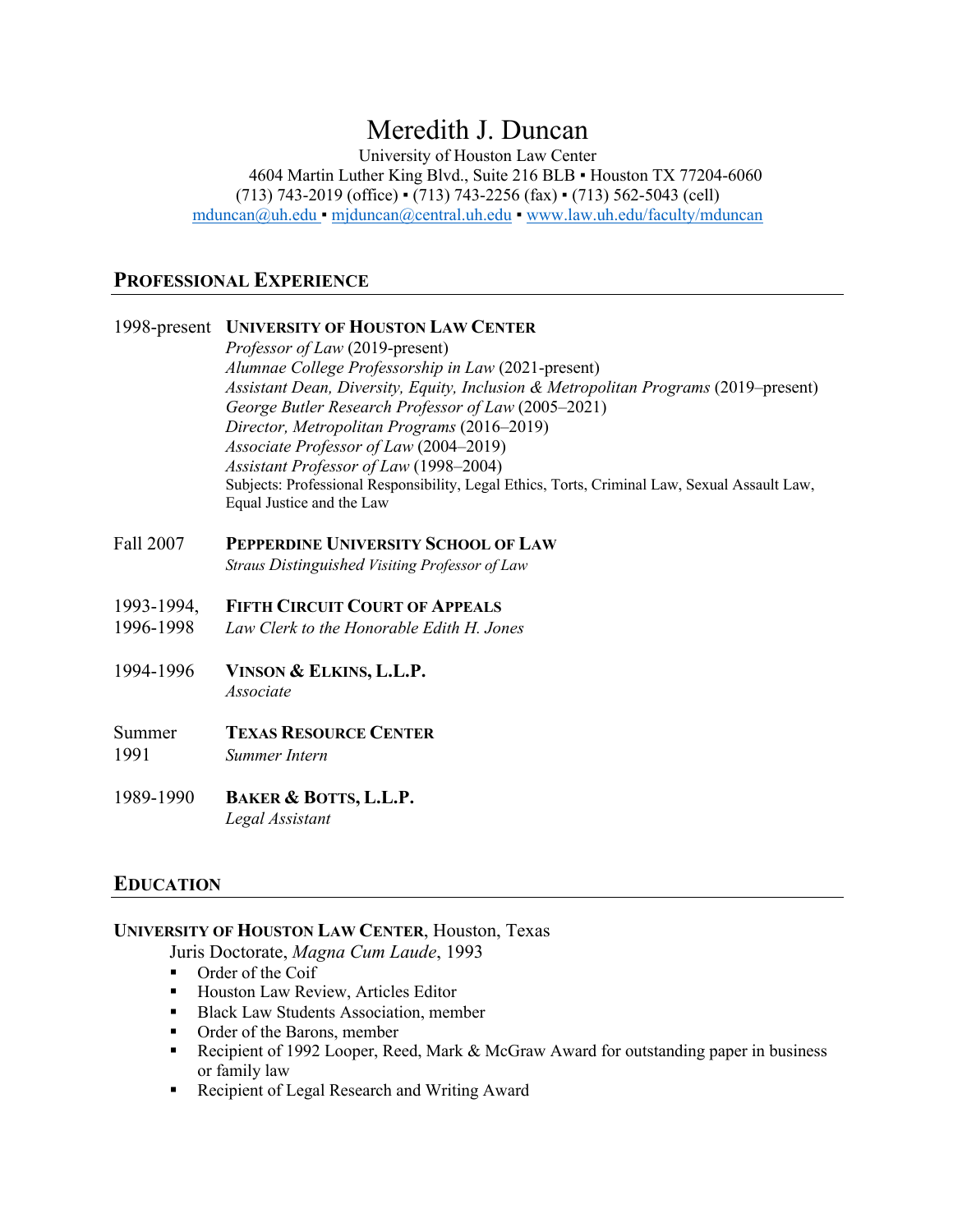# Meredith J. Duncan

University of Houston Law Center 4604 Martin Luther King Blvd., Suite 216 BLB · Houston TX 77204-6060 (713) 743-2019 (office) ▪ (713) 743-2256 (fax) ▪ (713) 562-5043 (cell) mduncan@uh.edu ▪ mjduncan@central.uh.edu ▪ www.law.uh.edu/faculty/mduncan

#### **PROFESSIONAL EXPERIENCE**

#### 1998-present **UNIVERSITY OF HOUSTON LAW CENTER**

*Professor of Law* (2019-present) *Alumnae College Professorship in Law* (2021-present) *Assistant Dean, Diversity, Equity, Inclusion & Metropolitan Programs* (2019–present) *George Butler Research Professor of Law* (2005–2021) *Director, Metropolitan Programs* (2016–2019) *Associate Professor of Law* (2004–2019) *Assistant Professor of Law* (1998–2004) Subjects: Professional Responsibility, Legal Ethics, Torts, Criminal Law, Sexual Assault Law, Equal Justice and the Law

Fall 2007 **PEPPERDINE UNIVERSITY SCHOOL OF LAW**

*Straus Distinguished Visiting Professor of Law*

- 1993-1994, **FIFTH CIRCUIT COURT OF APPEALS**
- 1996-1998 *Law Clerk to the Honorable Edith H. Jones*
- 1994-1996 **VINSON & ELKINS, L.L.P.** *Associate*

# Summer **TEXAS RESOURCE CENTER**

- 1991 *Summer Intern*
- 1989-1990 **BAKER & BOTTS, L.L.P.** *Legal Assistant*

## **EDUCATION**

#### **UNIVERSITY OF HOUSTON LAW CENTER**, Houston, Texas

Juris Doctorate, *Magna Cum Laude*, 1993

- Order of the Coif
- Houston Law Review, Articles Editor
- Black Law Students Association, member
- Order of the Barons, member
- Recipient of 1992 Looper, Reed, Mark & McGraw Award for outstanding paper in business or family law
- Recipient of Legal Research and Writing Award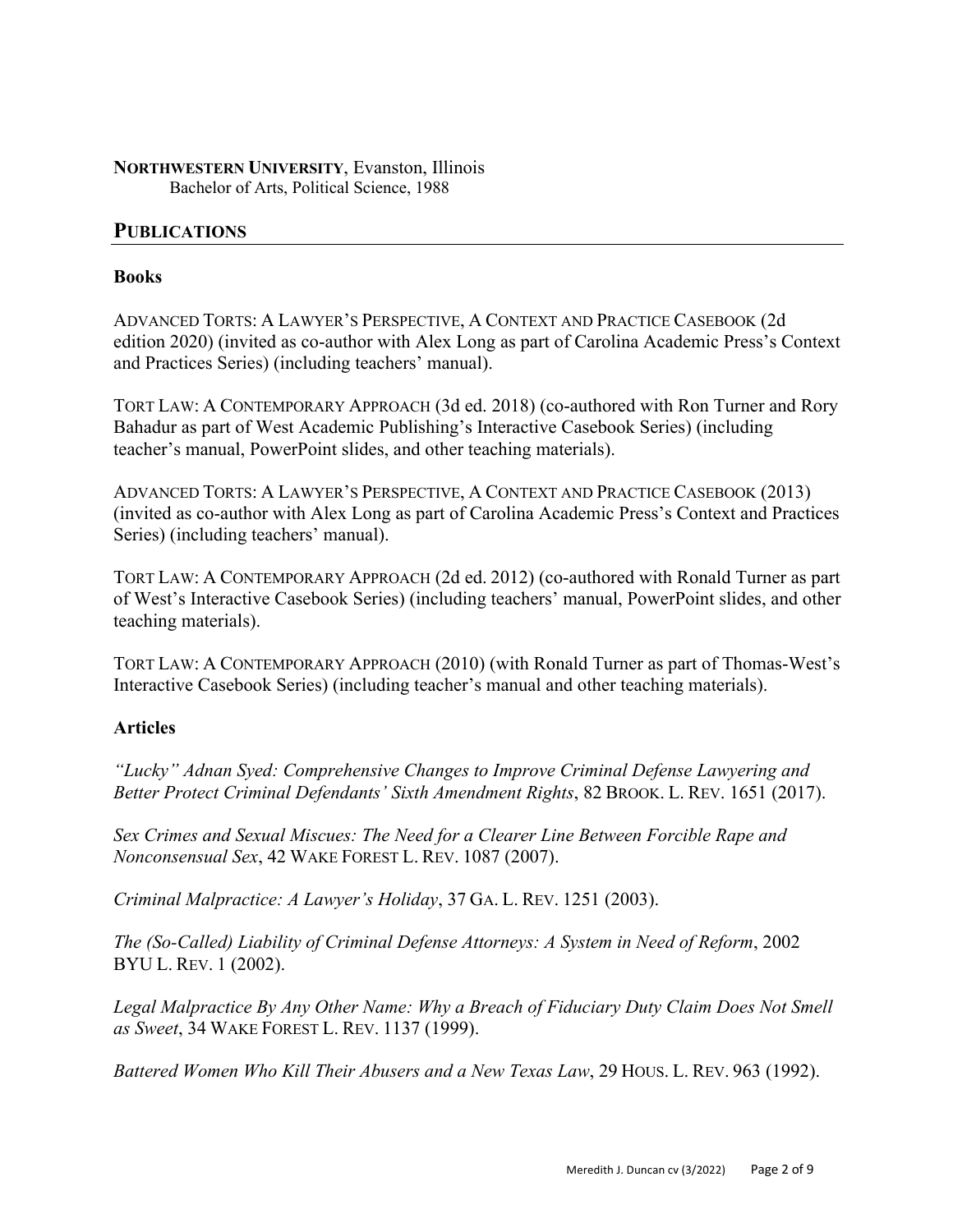**NORTHWESTERN UNIVERSITY**, Evanston, Illinois Bachelor of Arts, Political Science, 1988

## **PUBLICATIONS**

#### **Books**

ADVANCED TORTS: A LAWYER'S PERSPECTIVE, A CONTEXT AND PRACTICE CASEBOOK (2d edition 2020) (invited as co-author with Alex Long as part of Carolina Academic Press's Context and Practices Series) (including teachers' manual).

TORT LAW: A CONTEMPORARY APPROACH (3d ed. 2018) (co-authored with Ron Turner and Rory Bahadur as part of West Academic Publishing's Interactive Casebook Series) (including teacher's manual, PowerPoint slides, and other teaching materials).

ADVANCED TORTS: A LAWYER'S PERSPECTIVE, A CONTEXT AND PRACTICE CASEBOOK (2013) (invited as co-author with Alex Long as part of Carolina Academic Press's Context and Practices Series) (including teachers' manual).

TORT LAW: A CONTEMPORARY APPROACH (2d ed. 2012) (co-authored with Ronald Turner as part of West's Interactive Casebook Series) (including teachers' manual, PowerPoint slides, and other teaching materials).

TORT LAW: A CONTEMPORARY APPROACH (2010) (with Ronald Turner as part of Thomas-West's Interactive Casebook Series) (including teacher's manual and other teaching materials).

## **Articles**

*"Lucky" Adnan Syed: Comprehensive Changes to Improve Criminal Defense Lawyering and Better Protect Criminal Defendants' Sixth Amendment Rights*, 82 BROOK. L. REV. 1651 (2017).

*Sex Crimes and Sexual Miscues: The Need for a Clearer Line Between Forcible Rape and Nonconsensual Sex*, 42 WAKE FOREST L. REV. 1087 (2007).

*Criminal Malpractice: A Lawyer's Holiday*, 37 GA. L. REV. 1251 (2003).

*The (So-Called) Liability of Criminal Defense Attorneys: A System in Need of Reform*, 2002 BYU L. REV. 1 (2002).

*Legal Malpractice By Any Other Name: Why a Breach of Fiduciary Duty Claim Does Not Smell as Sweet*, 34 WAKE FOREST L. REV. 1137 (1999).

*Battered Women Who Kill Their Abusers and a New Texas Law*, 29 HOUS. L. REV. 963 (1992).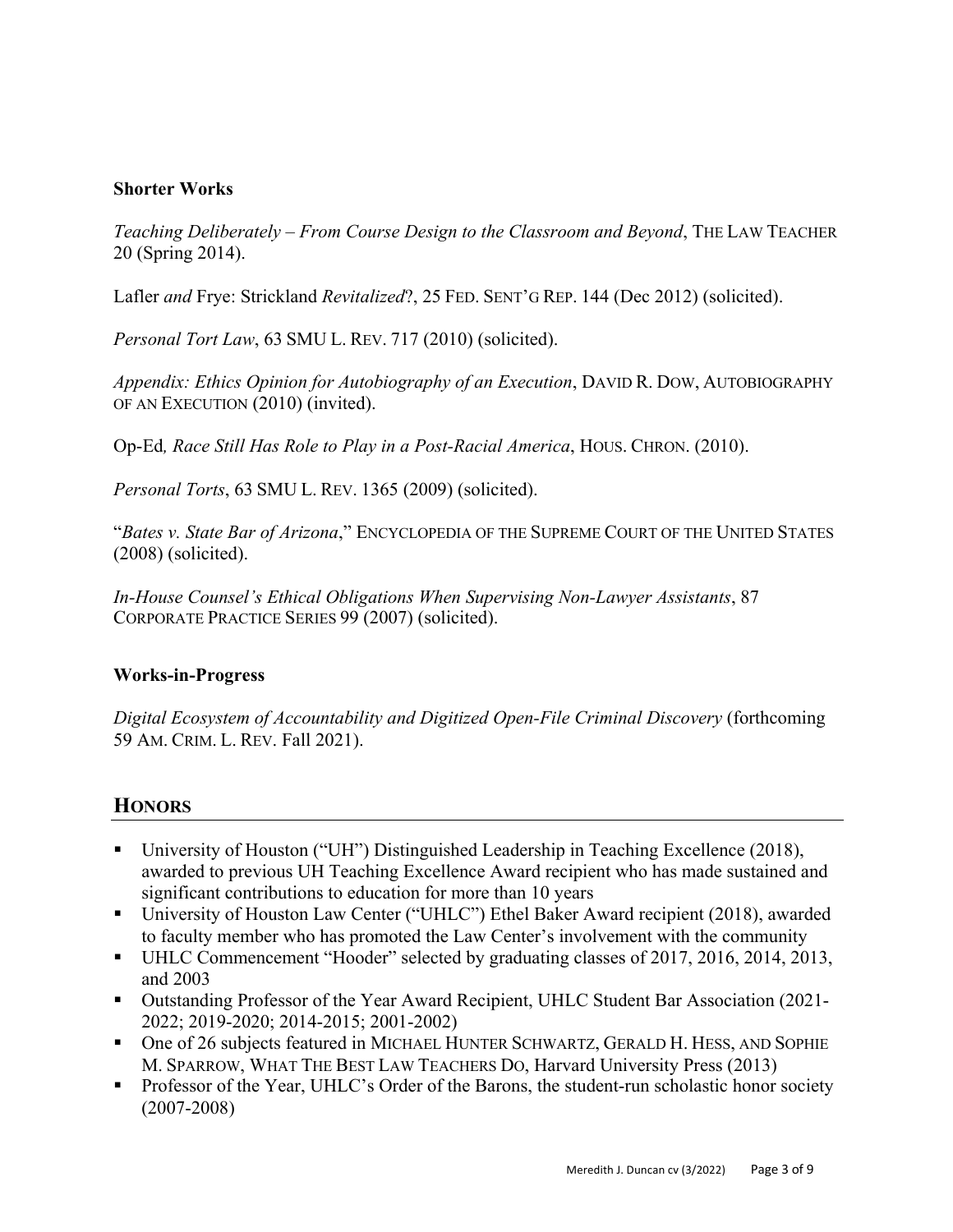### **Shorter Works**

*Teaching Deliberately – From Course Design to the Classroom and Beyond*, THE LAW TEACHER 20 (Spring 2014).

Lafler *and* Frye: Strickland *Revitalized*?, 25 FED. SENT'G REP. 144 (Dec 2012) (solicited).

*Personal Tort Law*, 63 SMU L. REV. 717 (2010) (solicited).

*Appendix: Ethics Opinion for Autobiography of an Execution*, DAVID R. DOW, AUTOBIOGRAPHY OF AN EXECUTION (2010) (invited).

Op-Ed*, Race Still Has Role to Play in a Post-Racial America*, HOUS. CHRON. (2010).

*Personal Torts*, 63 SMU L. REV. 1365 (2009) (solicited).

"*Bates v. State Bar of Arizona*," ENCYCLOPEDIA OF THE SUPREME COURT OF THE UNITED STATES (2008) (solicited).

*In-House Counsel's Ethical Obligations When Supervising Non-Lawyer Assistants*, 87 CORPORATE PRACTICE SERIES 99 (2007) (solicited).

#### **Works-in-Progress**

*Digital Ecosystem of Accountability and Digitized Open-File Criminal Discovery* (forthcoming 59 AM. CRIM. L. REV. Fall 2021).

# **HONORS**

- § University of Houston ("UH") Distinguished Leadership in Teaching Excellence (2018), awarded to previous UH Teaching Excellence Award recipient who has made sustained and significant contributions to education for more than 10 years
- University of Houston Law Center ("UHLC") Ethel Baker Award recipient (2018), awarded to faculty member who has promoted the Law Center's involvement with the community
- UHLC Commencement "Hooder" selected by graduating classes of 2017, 2016, 2014, 2013, and 2003
- Outstanding Professor of the Year Award Recipient, UHLC Student Bar Association (2021-2022; 2019-2020; 2014-2015; 2001-2002)
- One of 26 subjects featured in MICHAEL HUNTER SCHWARTZ, GERALD H. HESS, AND SOPHIE M. SPARROW, WHAT THE BEST LAW TEACHERS DO, Harvard University Press (2013)
- Professor of the Year, UHLC's Order of the Barons, the student-run scholastic honor society (2007-2008)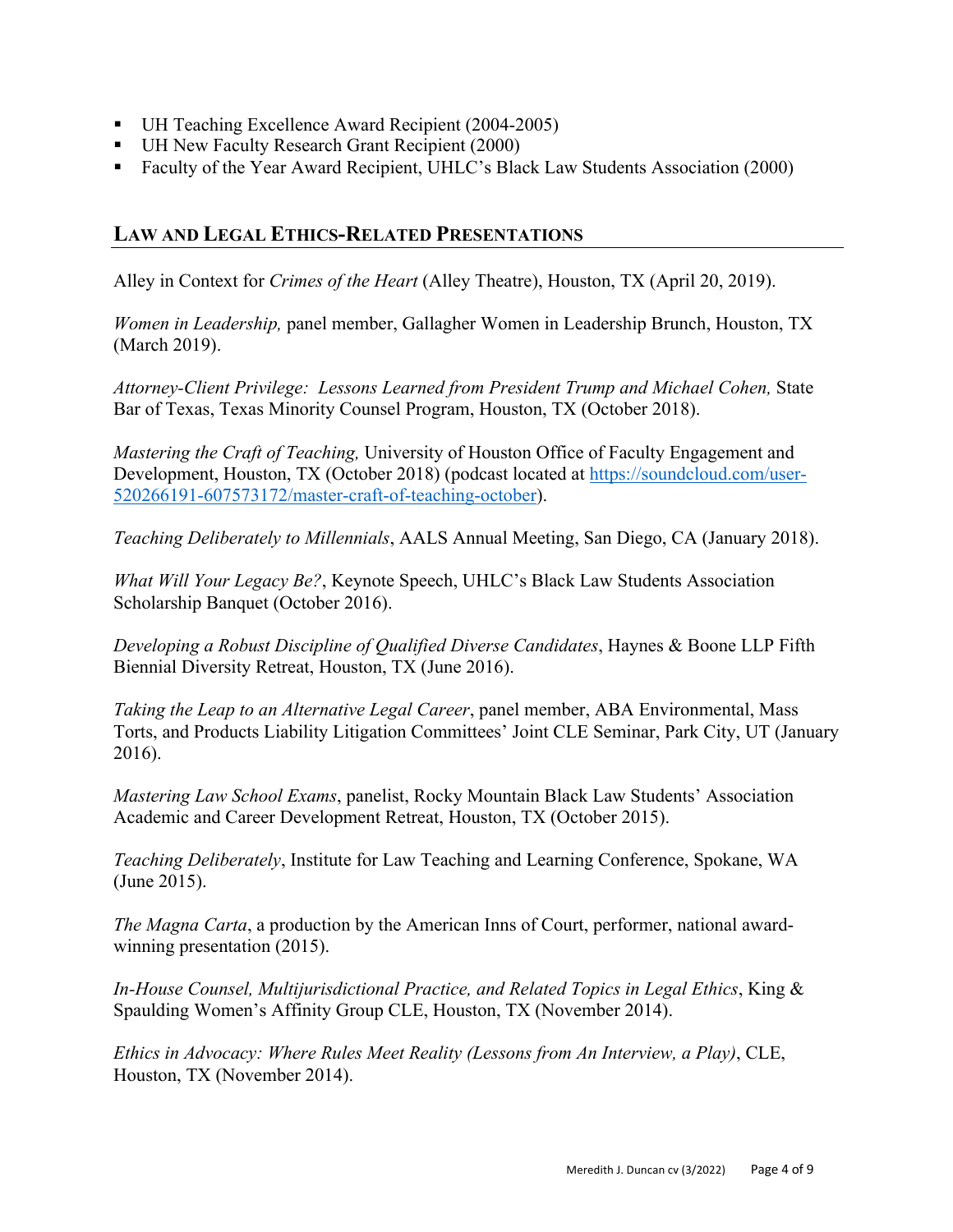- UH Teaching Excellence Award Recipient (2004-2005)
- UH New Faculty Research Grant Recipient (2000)
- Faculty of the Year Award Recipient, UHLC's Black Law Students Association (2000)

# **LAW AND LEGAL ETHICS-RELATED PRESENTATIONS**

Alley in Context for *Crimes of the Heart* (Alley Theatre), Houston, TX (April 20, 2019).

*Women in Leadership,* panel member, Gallagher Women in Leadership Brunch, Houston, TX (March 2019).

*Attorney-Client Privilege: Lessons Learned from President Trump and Michael Cohen,* State Bar of Texas, Texas Minority Counsel Program, Houston, TX (October 2018).

*Mastering the Craft of Teaching,* University of Houston Office of Faculty Engagement and Development, Houston, TX (October 2018) (podcast located at https://soundcloud.com/user-520266191-607573172/master-craft-of-teaching-october).

*Teaching Deliberately to Millennials*, AALS Annual Meeting, San Diego, CA (January 2018).

*What Will Your Legacy Be?*, Keynote Speech, UHLC's Black Law Students Association Scholarship Banquet (October 2016).

*Developing a Robust Discipline of Qualified Diverse Candidates*, Haynes & Boone LLP Fifth Biennial Diversity Retreat, Houston, TX (June 2016).

*Taking the Leap to an Alternative Legal Career*, panel member, ABA Environmental, Mass Torts, and Products Liability Litigation Committees' Joint CLE Seminar, Park City, UT (January 2016).

*Mastering Law School Exams*, panelist, Rocky Mountain Black Law Students' Association Academic and Career Development Retreat, Houston, TX (October 2015).

*Teaching Deliberately*, Institute for Law Teaching and Learning Conference, Spokane, WA (June 2015).

*The Magna Carta*, a production by the American Inns of Court, performer, national awardwinning presentation (2015).

*In-House Counsel, Multijurisdictional Practice, and Related Topics in Legal Ethics*, King & Spaulding Women's Affinity Group CLE, Houston, TX (November 2014).

*Ethics in Advocacy: Where Rules Meet Reality (Lessons from An Interview, a Play)*, CLE, Houston, TX (November 2014).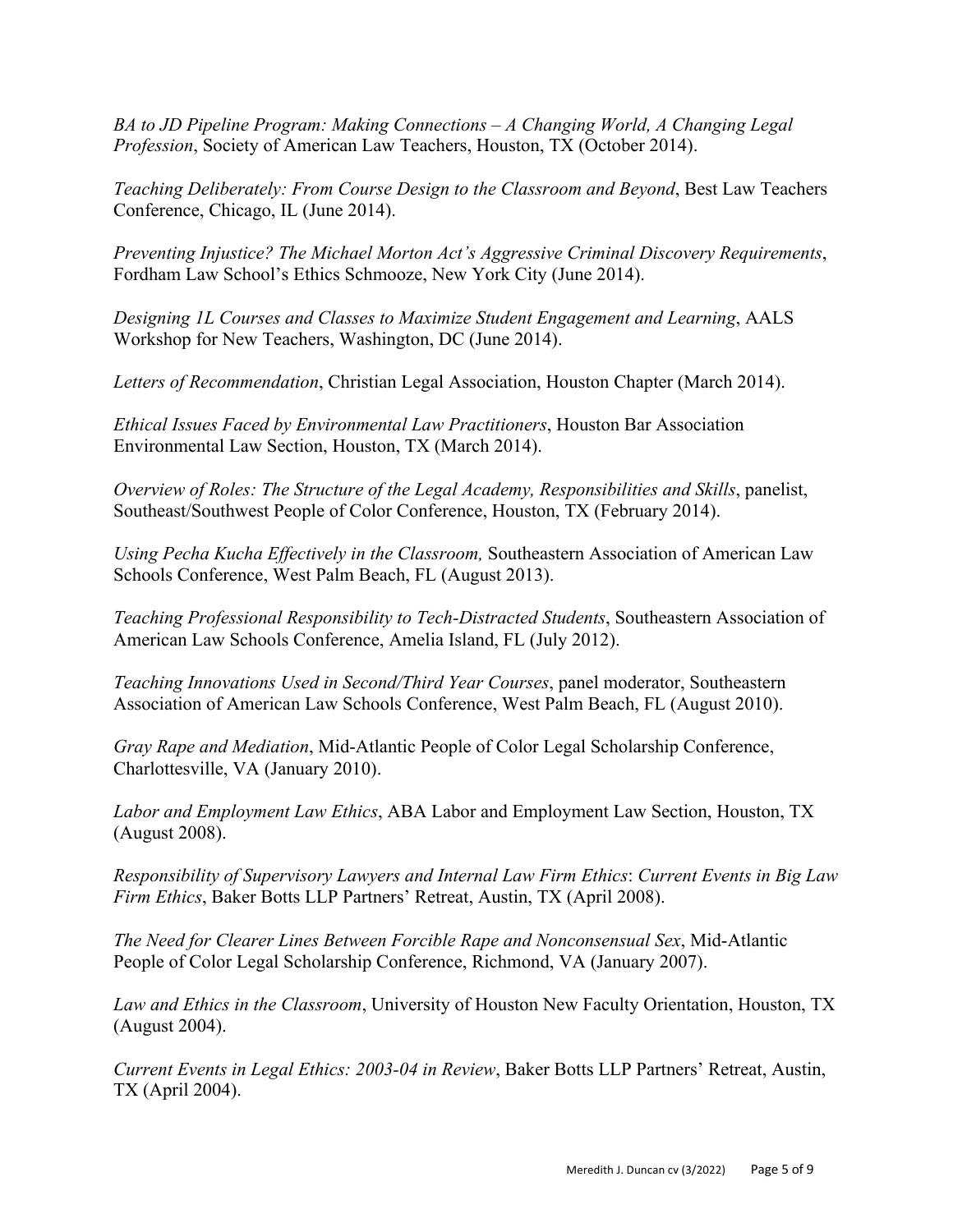*BA to JD Pipeline Program: Making Connections – A Changing World, A Changing Legal Profession*, Society of American Law Teachers, Houston, TX (October 2014).

*Teaching Deliberately: From Course Design to the Classroom and Beyond*, Best Law Teachers Conference, Chicago, IL (June 2014).

*Preventing Injustice? The Michael Morton Act's Aggressive Criminal Discovery Requirements*, Fordham Law School's Ethics Schmooze, New York City (June 2014).

*Designing 1L Courses and Classes to Maximize Student Engagement and Learning*, AALS Workshop for New Teachers, Washington, DC (June 2014).

*Letters of Recommendation*, Christian Legal Association, Houston Chapter (March 2014).

*Ethical Issues Faced by Environmental Law Practitioners*, Houston Bar Association Environmental Law Section, Houston, TX (March 2014).

*Overview of Roles: The Structure of the Legal Academy, Responsibilities and Skills*, panelist, Southeast/Southwest People of Color Conference, Houston, TX (February 2014).

*Using Pecha Kucha Effectively in the Classroom,* Southeastern Association of American Law Schools Conference, West Palm Beach, FL (August 2013).

*Teaching Professional Responsibility to Tech-Distracted Students*, Southeastern Association of American Law Schools Conference, Amelia Island, FL (July 2012).

*Teaching Innovations Used in Second/Third Year Courses*, panel moderator, Southeastern Association of American Law Schools Conference, West Palm Beach, FL (August 2010).

*Gray Rape and Mediation*, Mid-Atlantic People of Color Legal Scholarship Conference, Charlottesville, VA (January 2010).

*Labor and Employment Law Ethics*, ABA Labor and Employment Law Section, Houston, TX (August 2008).

*Responsibility of Supervisory Lawyers and Internal Law Firm Ethics*: *Current Events in Big Law Firm Ethics*, Baker Botts LLP Partners' Retreat, Austin, TX (April 2008).

*The Need for Clearer Lines Between Forcible Rape and Nonconsensual Sex*, Mid-Atlantic People of Color Legal Scholarship Conference, Richmond, VA (January 2007).

*Law and Ethics in the Classroom*, University of Houston New Faculty Orientation, Houston, TX (August 2004).

*Current Events in Legal Ethics: 2003-04 in Review*, Baker Botts LLP Partners' Retreat, Austin, TX (April 2004).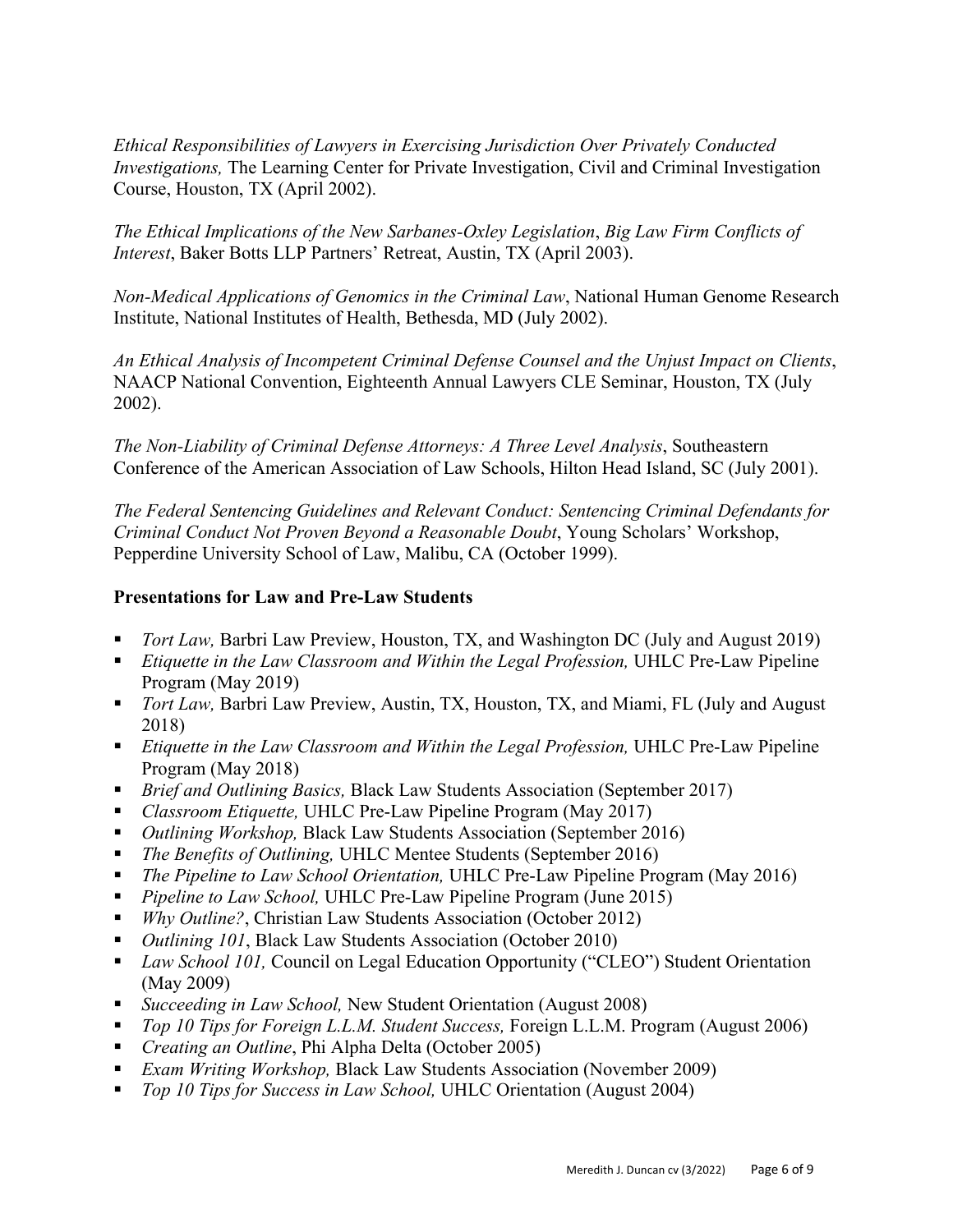*Ethical Responsibilities of Lawyers in Exercising Jurisdiction Over Privately Conducted Investigations,* The Learning Center for Private Investigation, Civil and Criminal Investigation Course, Houston, TX (April 2002).

*The Ethical Implications of the New Sarbanes-Oxley Legislation*, *Big Law Firm Conflicts of Interest*, Baker Botts LLP Partners' Retreat, Austin, TX (April 2003).

*Non-Medical Applications of Genomics in the Criminal Law*, National Human Genome Research Institute, National Institutes of Health, Bethesda, MD (July 2002).

*An Ethical Analysis of Incompetent Criminal Defense Counsel and the Unjust Impact on Clients*, NAACP National Convention, Eighteenth Annual Lawyers CLE Seminar, Houston, TX (July 2002).

*The Non-Liability of Criminal Defense Attorneys: A Three Level Analysis*, Southeastern Conference of the American Association of Law Schools, Hilton Head Island, SC (July 2001).

*The Federal Sentencing Guidelines and Relevant Conduct: Sentencing Criminal Defendants for Criminal Conduct Not Proven Beyond a Reasonable Doubt*, Young Scholars' Workshop, Pepperdine University School of Law, Malibu, CA (October 1999).

#### **Presentations for Law and Pre-Law Students**

- *Tort Law*, Barbri Law Preview, Houston, TX, and Washington DC (July and August 2019)
- *Etiquette in the Law Classroom and Within the Legal Profession*, UHLC Pre-Law Pipeline Program (May 2019)
- *Tort Law*, Barbri Law Preview, Austin, TX, Houston, TX, and Miami, FL (July and August 2018)
- *Etiquette in the Law Classroom and Within the Legal Profession, UHLC Pre-Law Pipeline* Program (May 2018)
- *Brief and Outlining Basics*, Black Law Students Association (September 2017)
- *Classroom Etiquette*, UHLC Pre-Law Pipeline Program (May 2017)
- *Outlining Workshop*, Black Law Students Association (September 2016)
- § *The Benefits of Outlining,* UHLC Mentee Students (September 2016)
- § *The Pipeline to Law School Orientation,* UHLC Pre-Law Pipeline Program (May 2016)
- *Pipeline to Law School,* UHLC Pre-Law Pipeline Program (June 2015)
- *Why Outline?*, Christian Law Students Association (October 2012)
- *Outlining 101*, Black Law Students Association (October 2010)
- *Law School 101*, Council on Legal Education Opportunity ("CLEO") Student Orientation (May 2009)
- *Succeeding in Law School,* New Student Orientation (August 2008)
- § *Top 10 Tips for Foreign L.L.M. Student Success,* Foreign L.L.M. Program (August 2006)
- *Creating an Outline*, Phi Alpha Delta (October 2005)
- *Exam Writing Workshop*, Black Law Students Association (November 2009)
- *Top 10 Tips for Success in Law School,* UHLC Orientation (August 2004)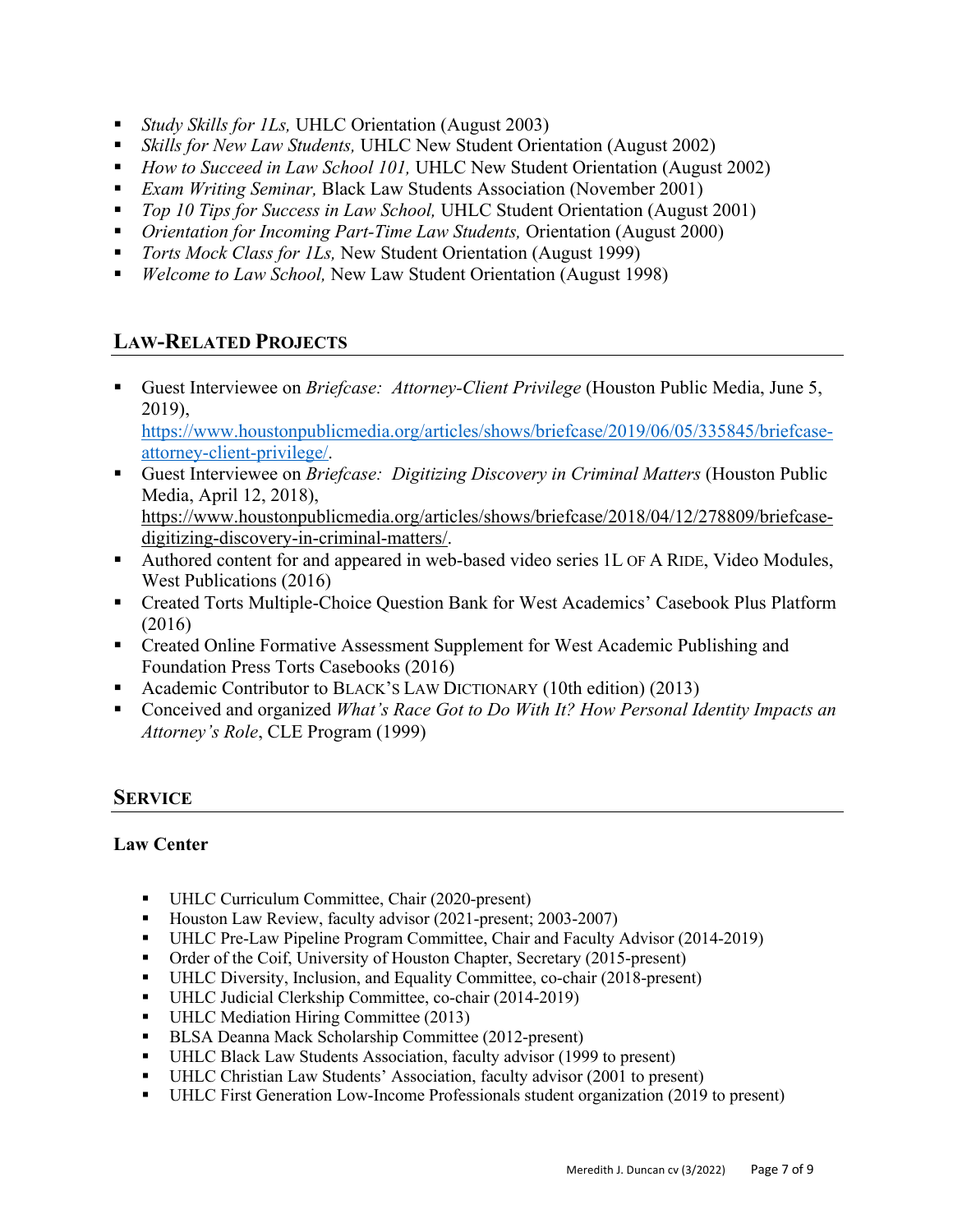- *Study Skills for 1Ls*, UHLC Orientation (August 2003)
- *Skills for New Law Students*, UHLC New Student Orientation (August 2002)
- *How to Succeed in Law School 101*, UHLC New Student Orientation (August 2002)
- *Exam Writing Seminar*, Black Law Students Association (November 2001)
- *Top 10 Tips for Success in Law School*, UHLC Student Orientation (August 2001)
- *Orientation for Incoming Part-Time Law Students, Orientation (August 2000)*
- *Torts Mock Class for 1Ls*, New Student Orientation (August 1999)
- *Welcome to Law School*, New Law Student Orientation (August 1998)

# **LAW-RELATED PROJECTS**

■ Guest Interviewee on *Briefcase: Attorney-Client Privilege* (Houston Public Media, June 5, 2019),

https://www.houstonpublicmedia.org/articles/shows/briefcase/2019/06/05/335845/briefcaseattorney-client-privilege/.

- Guest Interviewee on *Briefcase: Digitizing Discovery in Criminal Matters* (Houston Public Media, April 12, 2018), https://www.houstonpublicmedia.org/articles/shows/briefcase/2018/04/12/278809/briefcase-
- digitizing-discovery-in-criminal-matters/. ■ Authored content for and appeared in web-based video series 1L OF A RIDE, Video Modules,
- West Publications (2016)
- Created Torts Multiple-Choice Question Bank for West Academics' Casebook Plus Platform (2016)
- Created Online Formative Assessment Supplement for West Academic Publishing and Foundation Press Torts Casebooks (2016)
- Academic Contributor to BLACK's LAW DICTIONARY (10th edition) (2013)
- Conceived and organized *What's Race Got to Do With It? How Personal Identity Impacts an Attorney's Role*, CLE Program (1999)

# **SERVICE**

## **Law Center**

- UHLC Curriculum Committee, Chair (2020-present)
- Houston Law Review, faculty advisor (2021-present; 2003-2007)
- § UHLC Pre-Law Pipeline Program Committee, Chair and Faculty Advisor (2014-2019)
- Order of the Coif, University of Houston Chapter, Secretary (2015-present)
- UHLC Diversity, Inclusion, and Equality Committee, co-chair (2018-present)
- UHLC Judicial Clerkship Committee, co-chair (2014-2019)
- UHLC Mediation Hiring Committee (2013)
- BLSA Deanna Mack Scholarship Committee (2012-present)
- UHLC Black Law Students Association, faculty advisor (1999 to present)
- UHLC Christian Law Students' Association, faculty advisor (2001 to present)
- § UHLC First Generation Low-Income Professionals student organization (2019 to present)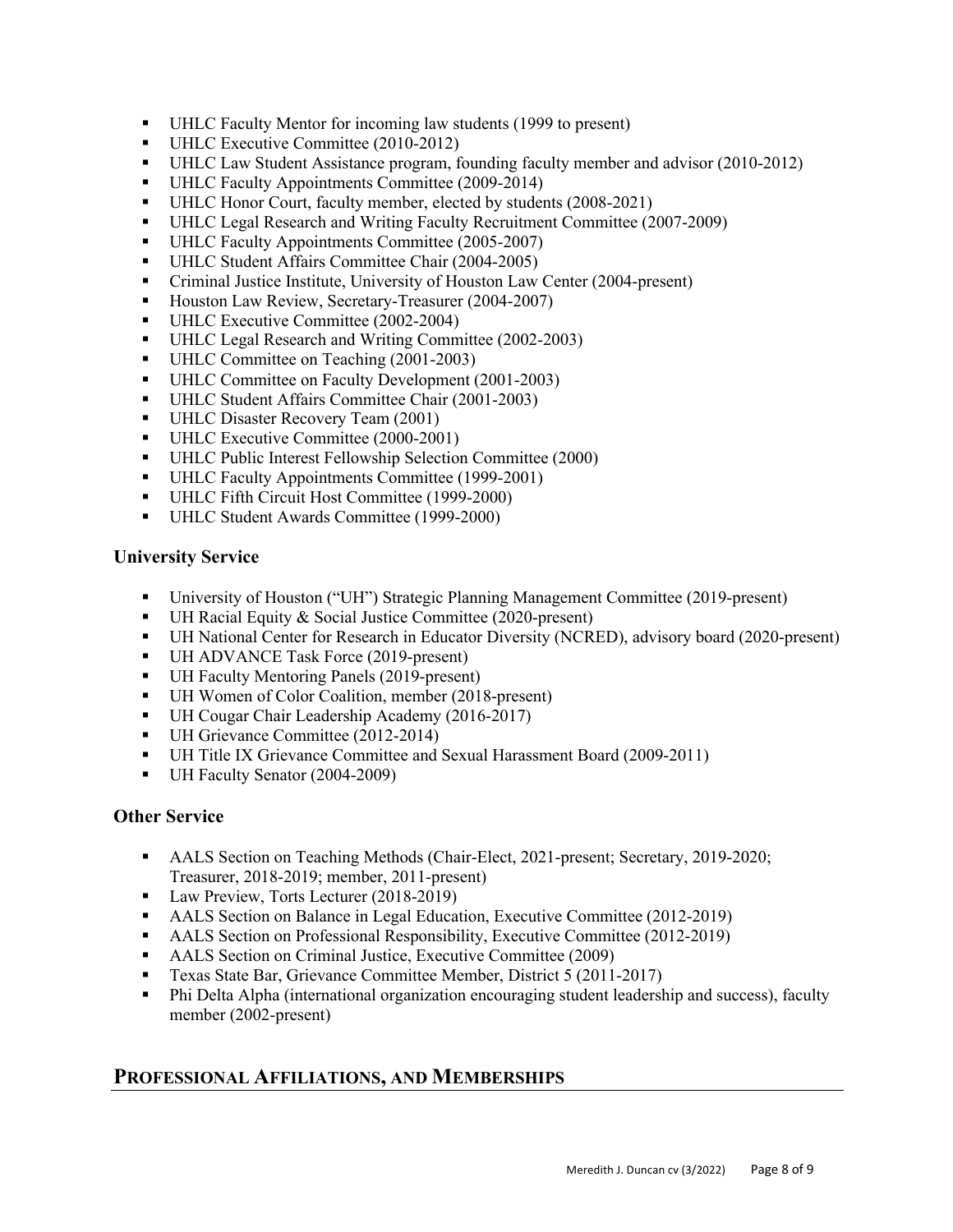- UHLC Faculty Mentor for incoming law students (1999 to present)
- UHLC Executive Committee (2010-2012)
- UHLC Law Student Assistance program, founding faculty member and advisor (2010-2012)
- § UHLC Faculty Appointments Committee (2009-2014)
- UHLC Honor Court, faculty member, elected by students (2008-2021)
- UHLC Legal Research and Writing Faculty Recruitment Committee (2007-2009)
- UHLC Faculty Appointments Committee (2005-2007)
- § UHLC Student Affairs Committee Chair (2004-2005)
- Criminal Justice Institute, University of Houston Law Center (2004-present)
- Houston Law Review, Secretary-Treasurer (2004-2007)
- § UHLC Executive Committee (2002-2004)
- UHLC Legal Research and Writing Committee (2002-2003)
- § UHLC Committee on Teaching (2001-2003)
- UHLC Committee on Faculty Development (2001-2003)
- UHLC Student Affairs Committee Chair (2001-2003)
- UHLC Disaster Recovery Team (2001)
- § UHLC Executive Committee (2000-2001)
- UHLC Public Interest Fellowship Selection Committee (2000)
- UHLC Faculty Appointments Committee (1999-2001)
- UHLC Fifth Circuit Host Committee (1999-2000)
- UHLC Student Awards Committee (1999-2000)

#### **University Service**

- § University of Houston ("UH") Strategic Planning Management Committee (2019-present)
- UH Racial Equity & Social Justice Committee (2020-present)
- § UH National Center for Research in Educator Diversity (NCRED), advisory board (2020-present)
- § UH ADVANCE Task Force (2019-present)
- UH Faculty Mentoring Panels (2019-present)
- UH Women of Color Coalition, member (2018-present)
- UH Cougar Chair Leadership Academy (2016-2017)
- UH Grievance Committee (2012-2014)
- § UH Title IX Grievance Committee and Sexual Harassment Board (2009-2011)
- UH Faculty Senator (2004-2009)

#### **Other Service**

- AALS Section on Teaching Methods (Chair-Elect, 2021-present; Secretary, 2019-2020; Treasurer, 2018-2019; member, 2011-present)
- Law Preview, Torts Lecturer (2018-2019)
- AALS Section on Balance in Legal Education, Executive Committee (2012-2019)
- AALS Section on Professional Responsibility, Executive Committee (2012-2019)
- AALS Section on Criminal Justice, Executive Committee (2009)
- Texas State Bar, Grievance Committee Member, District 5 (2011-2017)
- Phi Delta Alpha (international organization encouraging student leadership and success), faculty member (2002-present)

## **PROFESSIONAL AFFILIATIONS, AND MEMBERSHIPS**